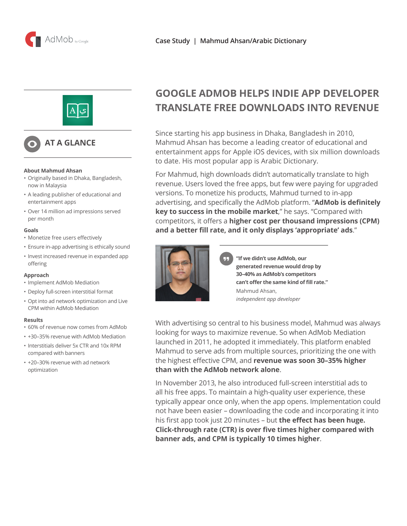



# **AT A GLANCE**

#### **About Mahmud Ahsan**

- Originally based in Dhaka, Bangladesh, now in Malaysia
- A leading publisher of educational and entertainment apps
- Over 14 million ad impressions served per month

#### **Goals**

- Monetize free users effectively
- Ensure in-app advertising is ethically sound
- Invest increased revenue in expanded app offering

#### **Approach**

- Implement AdMob Mediation
- Deploy full-screen interstitial format
- Opt into ad network optimization and Live CPM within AdMob Mediation

#### **Results**

- 60% of revenue now comes from AdMob
- +30–35% revenue with AdMob Mediation
- Interstitials deliver 5x CTR and 10x RPM compared with banners
- +20–30% revenue with ad network optimization

# **GOOGLE ADMOB HELPS INDIE APP DEVELOPER TRANSLATE FREE DOWNLOADS INTO REVENUE**

Since starting his app business in Dhaka, Bangladesh in 2010, Mahmud Ahsan has become a leading creator of educational and entertainment apps for Apple iOS devices, with six million downloads to date. His most popular app is Arabic Dictionary.

For Mahmud, high downloads didn't automatically translate to high revenue. Users loved the free apps, but few were paying for upgraded versions. To monetize his products, Mahmud turned to in-app advertising, and specifically the AdMob platform. "**AdMob is definitely key to success in the mobile market**," he says. "Compared with competitors, it offers a **higher cost per thousand impressions (CPM) and a better fill rate, and it only displays 'appropriate' ads**."



**"If we didn't use AdMob, our generated revenue would drop by 30–40% as AdMob's competitors can't offer the same kind of fill rate."** Mahmud Ahsan, *independent app developer*

With advertising so central to his business model, Mahmud was always looking for ways to maximize revenue. So when AdMob Mediation launched in 2011, he adopted it immediately. This platform enabled Mahmud to serve ads from multiple sources, prioritizing the one with the highest effective CPM, and **revenue was soon 30–35% higher than with the AdMob network alone**.

In November 2013, he also introduced full-screen interstitial ads to all his free apps. To maintain a high-quality user experience, these typically appear once only, when the app opens. Implementation could not have been easier – downloading the code and incorporating it into his first app took just 20 minutes – but **the effect has been huge. Click-through rate (CTR) is over five times higher compared with banner ads, and CPM is typically 10 times higher**.